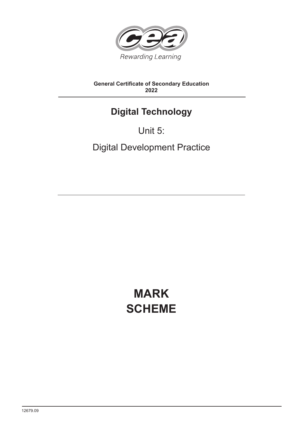

### **General Certificate of Secondary Education 2022**

# **Digital Technology**

## Unit 5:

Digital Development Practice

# **MARK SCHEME**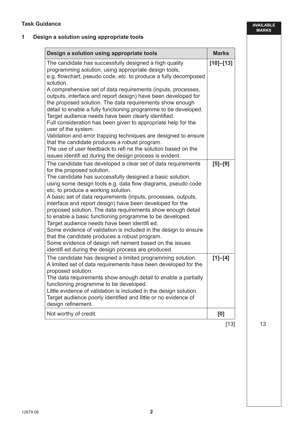### **1 Design a solution using appropriate tools**

| Design a solution using appropriate tools                                                                                                                                                                                                                                                                                                                                                                                                                                                                                                                                                                                                                                                                                                                                                                                                                       | <b>Marks</b>  |
|-----------------------------------------------------------------------------------------------------------------------------------------------------------------------------------------------------------------------------------------------------------------------------------------------------------------------------------------------------------------------------------------------------------------------------------------------------------------------------------------------------------------------------------------------------------------------------------------------------------------------------------------------------------------------------------------------------------------------------------------------------------------------------------------------------------------------------------------------------------------|---------------|
| The candidate has successfully designed a high quality<br>programming solution, using appropriate design tools,<br>e.g. flowchart, pseudo code, etc. to produce a fully decomposed<br>solution.<br>A comprehensive set of data requirements (inputs, processes,<br>outputs, interface and report design) have been developed for<br>the proposed solution. The data requirements show enough<br>detail to enable a fully functioning programme to be developed.<br>Target audience needs have been clearly identified.<br>Full consideration has been given to appropriate help for the<br>user of the system.<br>Validation and error trapping techniques are designed to ensure<br>that the candidate produces a robust program.<br>The use of user feedback to refi ne the solution based on the<br>issues identifi ed during the design process is evident. | $[10] - [13]$ |
| The candidate has developed a clear set of data requirements<br>for the proposed solution.<br>The candidate has successfully designed a basic solution,<br>using some design tools e.g. data flow diagrams, pseudo code<br>etc. to produce a working solution.<br>A basic set of data requirements (inputs, processes, outputs,<br>interface and report design) have been developed for the<br>proposed solution. The data requirements show enough detail<br>to enable a basic functioning programme to be developed.<br>Target audience needs have been identifi ed.<br>Some evidence of validation is included in the design to ensure<br>that the candidate produces a robust program.<br>Some evidence of design refi nement based on the issues<br>identifi ed during the design process are produced.                                                    | $[5] - [9]$   |
| The candidate has designed a limited programming solution.<br>A limited set of data requirements have been developed for the<br>proposed solution.<br>The data requirements show enough detail to enable a partially<br>functioning programme to be developed.<br>Little evidence of validation is included in the design solution.<br>Target audience poorly identified and little or no evidence of<br>design refinement.                                                                                                                                                                                                                                                                                                                                                                                                                                     | $[1]-[4]$     |
| Not worthy of credit.                                                                                                                                                                                                                                                                                                                                                                                                                                                                                                                                                                                                                                                                                                                                                                                                                                           | [0]           |
|                                                                                                                                                                                                                                                                                                                                                                                                                                                                                                                                                                                                                                                                                                                                                                                                                                                                 | [13]          |

**AVAILABLE MARKS**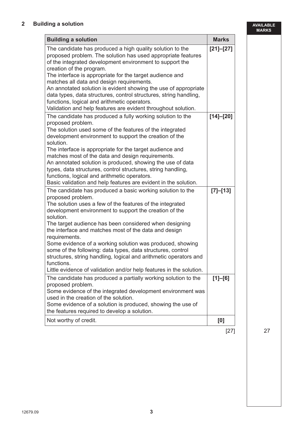**AVAILABLE MARKS**

| <b>Building a solution</b>                                                                                                                                                                                                                                                                                                                                                                                                                                                                                                                                                                                                                    | <b>Marks</b>  |
|-----------------------------------------------------------------------------------------------------------------------------------------------------------------------------------------------------------------------------------------------------------------------------------------------------------------------------------------------------------------------------------------------------------------------------------------------------------------------------------------------------------------------------------------------------------------------------------------------------------------------------------------------|---------------|
| The candidate has produced a high quality solution to the<br>proposed problem. The solution has used appropriate features<br>of the integrated development environment to support the<br>creation of the program.<br>The interface is appropriate for the target audience and<br>matches all data and design requirements.<br>An annotated solution is evident showing the use of appropriate<br>data types, data structures, control structures, string handling,<br>functions, logical and arithmetic operators.<br>Validation and help features are evident throughout solution.                                                           | $[21] - [27]$ |
| The candidate has produced a fully working solution to the<br>proposed problem.<br>The solution used some of the features of the integrated<br>development environment to support the creation of the<br>solution.<br>The interface is appropriate for the target audience and<br>matches most of the data and design requirements.<br>An annotated solution is produced, showing the use of data<br>types, data structures, control structures, string handling,<br>functions, logical and arithmetic operators.<br>Basic validation and help features are evident in the solution.                                                          | $[14] - [20]$ |
| The candidate has produced a basic working solution to the<br>proposed problem.<br>The solution uses a few of the features of the integrated<br>development environment to support the creation of the<br>solution.<br>The target audience has been considered when designing<br>the interface and matches most of the data and design<br>requirements.<br>Some evidence of a working solution was produced, showing<br>some of the following: data types, data structures, control<br>structures, string handling, logical and arithmetic operators and<br>functions.<br>Little evidence of validation and/or help features in the solution. | [7]–[13]      |
| The candidate has produced a partially working solution to the<br>proposed problem.<br>Some evidence of the integrated development environment was<br>used in the creation of the solution.<br>Some evidence of a solution is produced, showing the use of<br>the features required to develop a solution.                                                                                                                                                                                                                                                                                                                                    | $[1] - [6]$   |
| Not worthy of credit.                                                                                                                                                                                                                                                                                                                                                                                                                                                                                                                                                                                                                         | [0]           |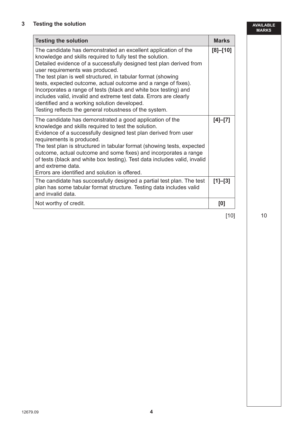#### **3 Testing the solution**

and extreme data.

and invalid data.

Errors are identified and solution is offered.

| Testing the solution                                                                                                                                                                                                                                                                                                                                                                                                                                                                                                                                                                                                      |              | <b>AVAILABLE</b><br><b>MARKS</b> |
|---------------------------------------------------------------------------------------------------------------------------------------------------------------------------------------------------------------------------------------------------------------------------------------------------------------------------------------------------------------------------------------------------------------------------------------------------------------------------------------------------------------------------------------------------------------------------------------------------------------------------|--------------|----------------------------------|
| <b>Testing the solution</b>                                                                                                                                                                                                                                                                                                                                                                                                                                                                                                                                                                                               | <b>Marks</b> |                                  |
| The candidate has demonstrated an excellent application of the<br>knowledge and skills required to fully test the solution.<br>Detailed evidence of a successfully designed test plan derived from<br>user requirements was produced.<br>The test plan is well structured, in tabular format (showing<br>tests, expected outcome, actual outcome and a range of fixes).<br>Incorporates a range of tests (black and white box testing) and<br>includes valid, invalid and extreme test data. Errors are clearly<br>identified and a working solution developed.<br>Testing reflects the general robustness of the system. | $[8] - [10]$ |                                  |
| The candidate has demonstrated a good application of the<br>knowledge and skills required to test the solution.<br>Evidence of a successfully designed test plan derived from user<br>requirements is produced.<br>The test plan is structured in tabular format (showing tests, expected                                                                                                                                                                                                                                                                                                                                 | $[4]-[7]$    |                                  |

outcome, actual outcome and some fixes) and incorporates a range of tests (black and white box testing). Test data includes valid, invalid

The candidate has successfully designed a partial test plan. The test plan has some tabular format structure. Testing data includes valid

Not worthy of credit. **[0] [0]** 

#### $[10]$  10

**[1]–[3]**

12679.09 **4**